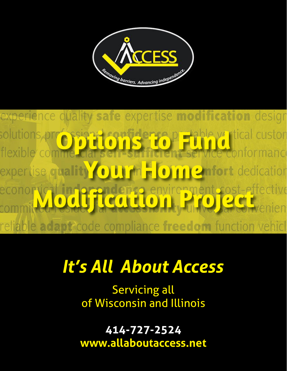

experience quality safe expertise modification design **STidence Pietchle ver**itical custon solutio flexib **OUTHE** n Confort dedication expertise quality  $\bullet$ Prendence environment cost-effective **Q** Convenien  $\mathbf{O}$ dapt code compliance freedom function vehicl reliable a

# It's All About Access

Servicing all of Wisconsin and Illinois

**414-727-2524 www.allaboutaccess.net**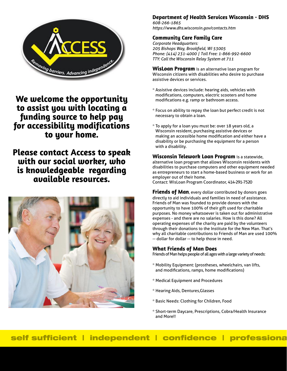

# **We welcome the opportunity to assist you with locating a funding source to help pay for accessibility modifications to your home.**

**Please contact Access to speak with our social worker, who is knowledgeable regarding available resources.**



## **Department of Health Services Wisconsin - DHS**

*608-266-1865 https://www.dhs.wisconsin.gov/contacts.htm*

## **Community Care Family Care**

*Corporate Headquarters:*  205 Bishops Way, Brook*field, WI 53005 Phone: (414) 231-4000 | Toll Free: 1-866-992-6600 TTY: Call the Wisconsin Relay System at 711*

**WisLoan Program** is an alternative loan program for Wisconsin citizens with disabilities who desire to purchase assistive devices or services.

- \* Assistive devices include: hearing aids, vehicles with modifications, computers, electric scooters and home modifications e.g. ramp or bathroom access.
- \* Focus on ability to repay the loan but perfect credit is not necessary to obtain a loan.
- \* To apply for a loan you must be: over 18 years old, a Wisconsin resident, purchasing assistive devices or making an accessible home modification and either have a disability or be purchasing the equipment for a person with a disability.

**Wisconsin Telework Loan Program** is a statewide, alternative loan program that allows Wisconsin residents with disabilities to purchase computers and other equipment needed as entrepreneurs to start a home-based business or work for an employer out of their home.

Contact: WisLoan Program Coordinator, 414-291-7520

**Friends of Man**, every dollar contributed by donors goes directly to aid individuals and families in need of assistance. Friends of Man was founded to provide donors with the opportunity to have 100% of their gift used for charitable purposes. No money whatsoever is taken out for administrative expenses - and there are no salaries. How is this done? All operating expenses of the charity are paid by the volunteers through their donations to the Institute for the New Man. That's why all charitable contributions to Friends of Man are used 100% -- dollar for dollar -- to help those in need.

## **What Friends of Man Does**

Friends of Man helps people of all ages with a large variety of needs:

- \* Mobility Equipment: (prostheses, wheelchairs, van lifts, and modifications, ramps, home modifications)
- \* Medical Equipment and Procedures
- \* Hearing Aids, Dentures,Glasses
- \* Basic Needs: Clothing for Children, Food
- \* Short-term Daycare, Prescriptions, Cobra/Health Insurance and More!!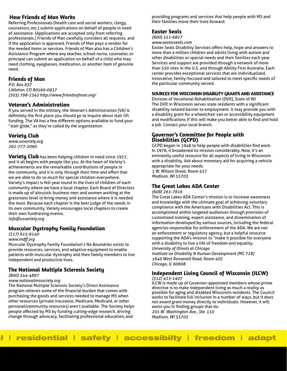## **How Friends of Man Works**

Referring Professionals (health care and social workers, clergy, counselors, etc.) submit applications on behalf of people in need of assistance. (Applications are accepted only from referring professionals.) Friends of Man carefully considers all requests, and if the application is approved, Friends of Man pays a vendor for the needed items or services. Friends of Man also has a Children's Assistance Program where any teacher, school nurse, counselor, or principal can submit an application on behalf of a child who may need clothing, eyeglasses, medication, or another item of genuine need.

## **Friends of Man**

*P.O. Box 937 Littleton, CO 80160-0937 (303) 798-2342 http://www.friendsofman.org/*

## **Veteran's Administration**

If you served in the military, the Veteran's Administration (VA) is definitely the first place you should go to inquire about stair lift funding. The VA has a few different options available to fund your "stair glide," as they're called by the organization.

## **Variety Club**

*www.usvariety.org 262-777-2090*

**Variety Club** has been helping children in need since 1927, and it all begins with people like you. At the heart of Variety's achievements are the remarkable contributions of people in the community, and it is only through their time and effort that we are able to do so much for special children everywhere. Variety's impact is felt year round in the lives of children of each community where we have a local chapter. Each Board of Directors is made up of altruistic business men and women working at the grassroots level to bring money and assistance where it is needed the most. Because each chapter is the best judge of the needs in its own community, Variety encourages local chapters to create their own fundraising events.

*info@usvariety.org*

## **Muscular Dystrophy Family Foundation**

#### *(317) 615-9140*

*www.mdff .org*

Muscular Dystrophy Family Foundation's No Boundries exists to provide resources, services, and adaptive equipment to enable patients with muscular dystrophy and their family members to live independent and productive lives.

## **The National Multiple Sclerosis Society**

*(800) 344-4867*

#### *www.nationalmssociety.org*

The National Multiple Sclerosis Society's Direct Assistance program relieves some of the financial burden that comes with purchasing the goods and services needed to manage MS when other resources (private insurance, Medicare, Medicaid, or other personal/community resources) aren't available. The Society helps people affected by MS by funding cutting-edge research, driving change through advocacy, facilitating professional education, and

providing programs and services that help people with MS and their families move their lives forward.

## **Easter Seals**

*(800) 221-6827*

*www.easterseals.com*

Easter Seals Disability Services offers help, hope and answers to more than a million children and adults living with autism and other disabilities or special needs and their families each year. Services and support are provided through a network of more than 550 sites in the U.S. and through Ability First Australia. Each center provides exceptional services that are individualized, innovative, family-focused and tailored to meet specific needs of the particular community served.

#### **SOURCES FOR WISCONSIN DISABILITY GRANTS AND ASSISTANCE**

Division of Vocational Rehabilitation (DVR), State of WI The DVR in Wisconsin serves state residents with a significant disability-related barrier to employment. It may provide you with a disability grant for a wheelchair van or accessibility equipment and modifications if this will make you better able to find and hold a job. Contact your local branch.

## **Governor's Committee for People with Disabilities (GCPD)**

GCPD began in 1948 to help people with disabilities find work. In 1976, it broadened its mission considerably. Now, it's an eminently useful resource for all aspects of living in Wisconsin with a disability. Ask about monetary aid for acquiring a vehicle appropriate for your needs.

*1 W. Wilson Street, Room 437 Madison, WI 53703*

## **The Great Lakes ADA Center**

*(608) 261-7816*

The Great Lakes ADA Center's mission is to increase awareness and knowledge with the ultimate goal of achieving voluntary compliance with the Americans with Disabilities Act. This is accomplished within targeted audiences through provision of customized training, expert assistance, and dissemination of information developed by various sources, including the federal agencies responsible for enforcement of the ADA. We are not an enforcement or regulatory agency, but a helpful resource supporting the ADA's mission to "make it possible for everyone with a disability to live a life of freedom and equality. *University of Illinois at Chicago*

*Institute on Disability & Human Development (MC 728) 1640 West Roosevelt Road, Room 405 Chicago, IL 60608*

# **Independent Living Council of Wisconsin (ILCW)**

*(312) 413-1407*

ILCW is made up of Governor-appointed members whose prime directive is to make independent living as much a reality as possible for aging and disabled Wisconsin residents. The Council works to facilitate full inclusion in a number of ways, but it does not award grant money directly to individuals. However, it will assist you in finding groups that do.

*201 W. Washington Ave., Ste. 110 Madison, WI 53703*